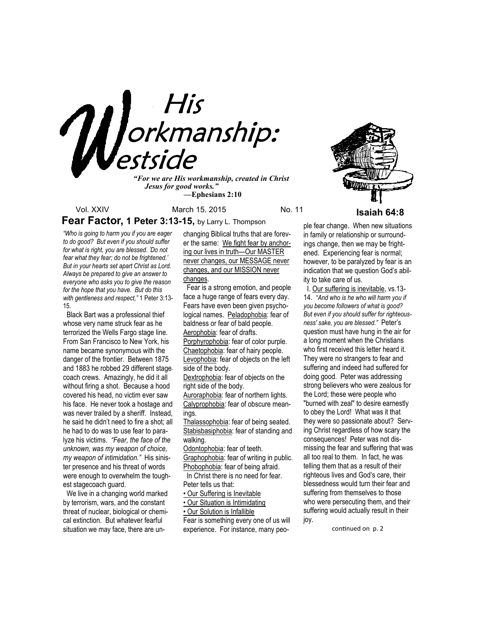

*"For we are His workmanship, created in Christ Jesus for good works." —***Ephesians 2:10**



Vol. XXIV March 15, 2015 No. 11 **Isaiah 64:8 Fear Factor, 1 Peter 3:13-15,** by Larry L. Thompson

*"Who is going to harm you if you are eager to do good? But even if you should suffer for what is right, you are blessed. 'Do not fear what they fear; do not be frightened.' But in your hearts set apart Christ as Lord. Always be prepared to give an answer to everyone who asks you to give the reason for the hope that you have. But do this with gentleness and respect,"* 1 Peter 3:13- 15.

 Black Bart was a professional thief whose very name struck fear as he terrorized the Wells Fargo stage line. From San Francisco to New York, his name became synonymous with the danger of the frontier. Between 1875 and 1883 he robbed 29 different stagecoach crews. Amazingly, he did it all without firing a shot. Because a hood covered his head, no victim ever saw his face. He never took a hostage and was never trailed by a sheriff. Instead, he said he didn't need to fire a shot; all he had to do was to use fear to paralyze his victims. *"Fear, the face of the unknown, was my weapon of choice, my weapon of intimidation."* His sinister presence and his threat of words were enough to overwhelm the toughest stagecoach guard.

 We live in a changing world marked by terrorism, wars, and the constant threat of nuclear, biological or chemical extinction. But whatever fearful situation we may face, there are unchanging Biblical truths that are forever the same: We fight fear by anchoring our lives in truth—Our MASTER never changes, our MESSAGE never changes, and our MISSION never changes.

 Fear is a strong emotion, and people face a huge range of fears every day. Fears have even been given psychological names. Peladophobia: fear of baldness or fear of bald people. Aerophobia: fear of drafts. Porphyrophobia: fear of color purple. Chaetophobia: fear of hairy people. Levophobia: fear of objects on the left side of the body. Dextrophobia: fear of objects on the

right side of the body. Auroraphobia: fear of northern lights. Calyprophobia: fear of obscure meanings.

Thalassophobia: fear of being seated. Stabisbasiphobia: fear of standing and walking.

Odontophobia: fear of teeth.

Graphophobia: fear of writing in public. Phobophobia: fear of being afraid.

 In Christ there is no need for fear. Peter tells us that:

• Our Suffering is Inevitable

• Our Situation is Intimidating

• Our Solution is Infallible

Fear is something every one of us will experience. For instance, many peo-

ple fear change. When new situations in family or relationship or surroundings change, then we may be frightened. Experiencing fear is normal; however, to be paralyzed by fear is an indication that we question God's ability to take care of us.

 I. Our suffering is inevitable, vs.13- 14. "*And who is he who will harm you if you become followers of what is good? But even if you should suffer for righteousness' sake, you are blessed."* Peter's question must have hung in the air for a long moment when the Christians who first received this letter heard it. They were no strangers to fear and suffering and indeed had suffered for doing good. Peter was addressing strong believers who were zealous for the Lord; these were people who "burned with zeal" to desire earnestly to obey the Lord! What was it that they were so passionate about? Serving Christ regardless of how scary the consequences! Peter was not dismissing the fear and suffering that was all too real to them. In fact, he was telling them that as a result of their righteous lives and God's care, their blessedness would turn their fear and suffering from themselves to those who were persecuting them, and their suffering would actually result in their joy.

continued on p. 2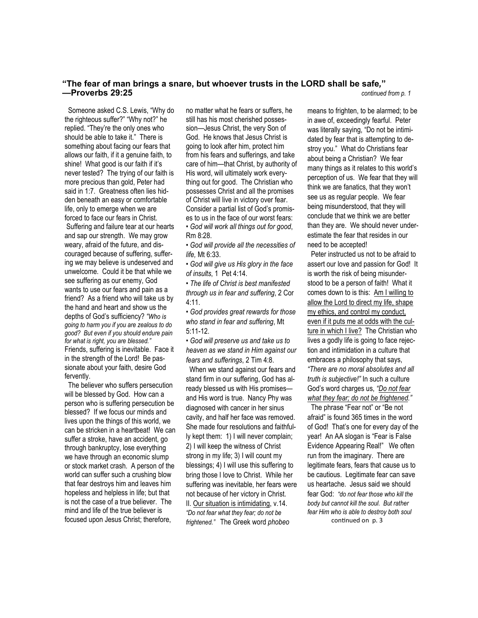# **"The fear of man brings a snare, but whoever trusts in the LORD shall be safe***,***" —Proverbs 29:25** *continued from p. 1*

 Someone asked C.S. Lewis, "Why do the righteous suffer?" "Why not?" he replied. "They're the only ones who should be able to take it." There is something about facing our fears that allows our faith, if it a genuine faith, to shine! What good is our faith if it's never tested? The trying of our faith is more precious than gold, Peter had said in 1:7. Greatness often lies hidden beneath an easy or comfortable life, only to emerge when we are forced to face our fears in Christ. Suffering and failure tear at our hearts and sap our strength. We may grow weary, afraid of the future, and discouraged because of suffering, suffering we may believe is undeserved and unwelcome. Could it be that while we see suffering as our enemy, God wants to use our fears and pain as a friend? As a friend who will take us by the hand and heart and show us the depths of God's sufficiency? *"Who is going to harm you if you are zealous to do good? But even if you should endure pain for what is right, you are blessed."*  Friends, suffering is inevitable. Face it in the strength of the Lord! Be passionate about your faith, desire God fervently.

 The believer who suffers persecution will be blessed by God. How can a person who is suffering persecution be blessed? If we focus our minds and lives upon the things of this world, we can be stricken in a heartbeat! We can suffer a stroke, have an accident, go through bankruptcy, lose everything we have through an economic slump or stock market crash. A person of the world can suffer such a crushing blow that fear destroys him and leaves him hopeless and helpless in life; but that is not the case of a true believer. The mind and life of the true believer is focused upon Jesus Christ; therefore,

no matter what he fears or suffers, he still has his most cherished possession—Jesus Christ, the very Son of God. He knows that Jesus Christ is going to look after him, protect him from his fears and sufferings, and take care of him—that Christ, by authority of His word, will ultimately work everything out for good. The Christian who possesses Christ and all the promises of Christ will live in victory over fear. Consider a partial list of God's promises to us in the face of our worst fears: • *God will work all things out for good*,

Rm 8:28. • *God will provide all the necessities of* 

*life,* Mt 6:33.

• *God will give us His glory in the face of insults*, 1 Pet 4:14.

• *The life of Christ is best manifested through us in fear and suffering*, 2 Cor 4:11.

• *God provides great rewards for those who stand in fear and suffering*, Mt 5:11-12.

• *God will preserve us and take us to heaven as we stand in Him against our fears and sufferings*, 2 Tim 4:8.

 When we stand against our fears and stand firm in our suffering, God has already blessed us with His promises and His word is true. Nancy Phy was diagnosed with cancer in her sinus cavity, and half her face was removed. She made four resolutions and faithfully kept them: 1) I will never complain; 2) I will keep the witness of Christ strong in my life; 3) I will count my blessings; 4) I will use this suffering to bring those I love to Christ. While her suffering was inevitable, her fears were not because of her victory in Christ. II. Our situation is intimidating, v.14. *"Do not fear what they fear; do not be frightened."* The Greek word *phobeo*

means to frighten, to be alarmed; to be in awe of, exceedingly fearful. Peter was literally saying, "Do not be intimidated by fear that is attempting to destroy you." What do Christians fear about being a Christian? We fear many things as it relates to this world's perception of us. We fear that they will think we are fanatics, that they won't see us as regular people. We fear being misunderstood, that they will conclude that we think we are better than they are. We should never underestimate the fear that resides in our need to be accepted!

 Peter instructed us not to be afraid to assert our love and passion for God! It is worth the risk of being misunderstood to be a person of faith! What it comes down to is this: Am I willing to allow the Lord to direct my life, shape my ethics, and control my conduct, even if it puts me at odds with the culture in which I live? The Christian who lives a godly life is going to face rejection and intimidation in a culture that embraces a philosophy that says, *"There are no moral absolutes and all truth is subjective!"* In such a culture God's word charges us, *"Do not fear what they fear; do not be frightened."* 

 The phrase "Fear not" or "Be not afraid" is found 365 times in the word of God! That's one for every day of the year! An AA slogan is "Fear is False Evidence Appearing Real!" We often run from the imaginary. There are legitimate fears, fears that cause us to be cautious. Legitimate fear can save us heartache. Jesus said we should fear God: *"do not fear those who kill the body but cannot kill the soul. But rather fear Him who is able to destroy both soul*  continued on p. 3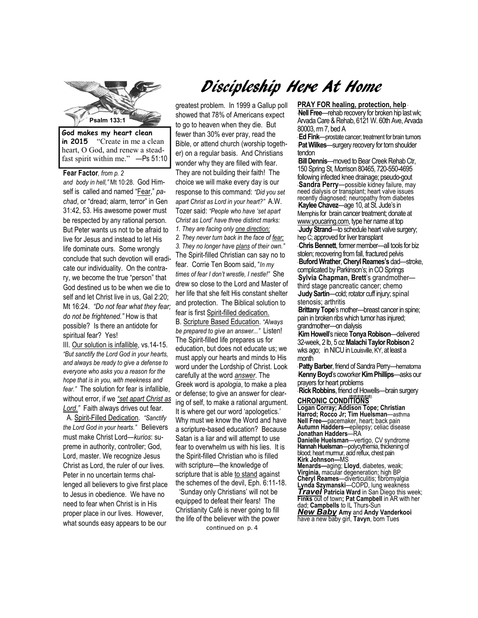

**in 2015** "Create in me a clean heart, O God, and renew a steadfast spirit within me." —Ps 51:10

**Fear Factor***, from p. 2 and body in hell,"* Mt 10:28. God Himself is called and named "Fear," *pachad*, or "dread; alarm, terror" in Gen 31:42, 53. His awesome power must be respected by any rational person. But Peter wants us not to be afraid to live for Jesus and instead to let His life dominate ours. Some wrongly conclude that such devotion will eradicate our individuality. On the contrary, we become the true "person" that God destined us to be when we die to self and let Christ live in us, Gal 2:20; Mt 16:24. *"Do not fear what they fear; do not be frightened."* How is that possible? Is there an antidote for spiritual fear? Yes!

III. Our solution is infallible, vs.14-15. *"But sanctify the Lord God in your hearts, and always be ready to give a defense to everyone who asks you a reason for the hope that is in you, with meekness and fear."* The solution for fear is infallible, without error, if we *"set apart Christ as Lord."* Faith always drives out fear.

 A. Spirit-Filled Dedication. *"Sanctify the Lord God in your hearts."* Believers must make Christ Lord—*kurios*: supreme in authority, controller; God, Lord, master. We recognize Jesus Christ as Lord, the ruler of our lives. Peter in no uncertain terms challenged all believers to give first place to Jesus in obedience. We have no need to fear when Christ is in His proper place in our lives. However, what sounds easy appears to be our

# Discipleship Here At Home

greatest problem. In 1999 a Gallup poll showed that 78% of Americans expect to go to heaven when they die. But fewer than 30% ever pray, read the Bible, or attend church (worship together) on a regular basis. And Christians wonder why they are filled with fear. They are not building their faith! The choice we will make every day is our response to this command: *"Did you set apart Christ as Lord in your heart?"* A.W. Tozer said: *"People who have 'set apart Christ as Lord' have three distinct marks: 1. They are facing only one direction; 2. They never turn back in the face of fear; 3. They no longer have plans of their own."*  The Spirit-filled Christian can say no to fear. Corrie Ten Boom said, "*In my times of fear I don't wrestle, I nestle!"* She drew so close to the Lord and Master of her life that she felt His constant shelter and protection. The Biblical solution to fear is first Spirit-filled dedication. B. Scripture Based Education. *"Always be prepared to give an answer..."* Listen! The Spirit-filled life prepares us for education, but does not educate us; we must apply our hearts and minds to His word under the Lordship of Christ. Look carefully at the word *answer*. The Greek word is *apologia*, to make a plea or defense; to give an answer for clearing of self, to make a rational argument. It is where get our word 'apologetics.' Why must we know the Word and have a scripture-based education? Because Satan is a liar and will attempt to use fear to overwhelm us with his lies. It is the Spirit-filled Christian who is filled with scripture—the knowledge of scripture that is able to stand against the schemes of the devil, Eph. 6:11-18.

 'Sunday only Christians' will not be equipped to defeat their fears! The Christianity Café is never going to fill the life of the believer with the power

## continued on p. 4

#### **PRAY FOR healing, protection, help** \*

\***Nell Free**—rehab recovery for broken hip last wk; Arvada Care & Rehab, 6121 W. 60th Ave, Arvada 80003, rm 7, bed A

\* **Ed Fink**—prostate cancer; treatment for brain tumors \***Pat Wilkes**—surgery recovery for torn shoulder tendon

**Psalm 133:1**  150 Spring St, Morrison 80465, 720-550-4695 \***Bill Dennis**—moved to Bear Creek Rehab Ctr, following infected knee drainage; pseudo-gout **Sandra Perry**—possible kidney failure, may need dialysis or transplant; heart valve issues recently diagnosed; neuropathy from diabetes \***Kaylee Chavez**—age 10, at St. Jude's in Memphis for brain cancer treatment; donate at www.youcaring.com, type her name at top **Judy Strand—to schedule heart valve surgery;** hep C; approved for liver transplant \* **Chris Bennett**, former member—all tools for biz stolen; recovering from fall, fractured pelvis \* **Buford Wrather**, **Cheryl Reames's** dad—stroke, complicated by Parkinson's; in CO Springs \***Sylvia Chapman, Brett**'s grandmother third stage pancreatic cancer; chemo \***Judy Sartin**—cold; rotator cuff injury; spinal stenosis; arthritis

**Brittany Tope**'s mother—breast cancer in spine; pain in broken ribs which tumor has injured; grandmother—on dialysis

\***Kim Howell**'s niece **Tonya Robison**—delivered 32-week, 2 lb, 5 oz **Malachi Taylor Robison** 2 wks ago; in NICU in Louisville, KY, at least a month

\* **Patty Barber**, friend of Sandra Perry—hematoma \***Kenny Boyd**'s coworker **Kim Phillips**—asks our prayers for heart problems

\* **Rick Robbins**, friend of Howells—brain surgery

*+#+#+#+#+#+#+*  **CHRONIC CONDITIONS Logan Corray; Addison Tope; Christian Harrod; Rocco Jr; Tim Huelsman**—asthma **Nell Free—**pacemaker, heart; back pain **Autumn Hadders—**epilepsy; celiac disease **Jonathan Hadders**—RA **Danielle Huelsman**—vertigo, CV syndrome **Hannah Huelsman**—polycythemia, thickening of blood; heart murmur, acid reflux, chest pain **Kirk Johnson—**MS **Menards—**aging; **Lloyd**, diabetes, weak; **Virginia,** macular degeneration; high BP **Cheryl Reames**—diverticulitis; fibromyalgia **Lynda Szymanski**—COPD, lung weakness *Travel* **Patricia Ward** in San Diego this week; **Finks** out of town**; Pat Campbell** in AR with her dad; **Campbells** to IL Thurs-Sun *New Baby* **Amy** and **Andy Vanderkooi** have a new baby girl, **Tavyn**, born Tues